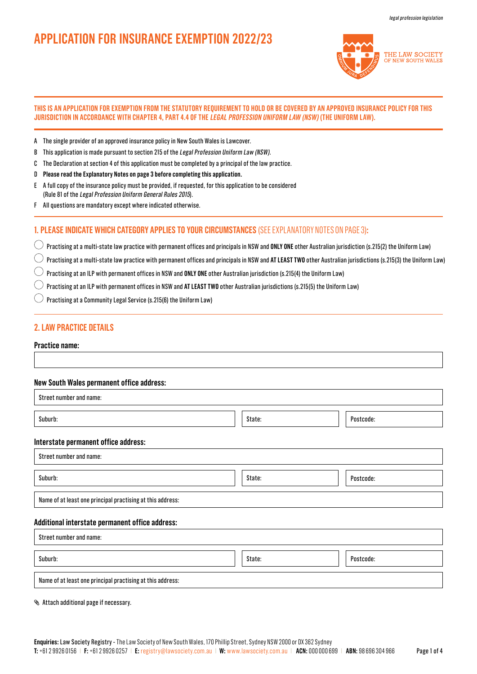# **APPLICATION FOR INSURANCE EXEMPTION 2022/23**



### **THIS IS AN APPLICATION FOR EXEMPTION FROM THE STATUTORY REQUIREMENT TO HOLD OR BE COVERED BY AN APPROVED INSURANCE POLICY FOR THIS JURISDICTION IN ACCORDANCE WITH CHAPTER 4, PART 4.4 OF THE LEGAL PROFESSION UNIFORM LAW (NSW) (THE UNIFORM LAW).**

- A The single provider of an approved insurance policy in New South Wales is Lawcover.
- B This application is made pursuant to section 215 of the Legal Profession Uniform Law (NSW).
- C The Declaration at section 4 of this application must be completed by a principal of the law practice.
- D **Please read the Explanatory Notes on page 3 before completing this application.**
- E A full copy of the insurance policy must be provided, if requested, for this application to be considered (Rule 81 of the Legal Profession Uniform General Rules 2015).
- F All questions are mandatory except where indicated otherwise.

# **1. PLEASE INDICATE WHICH CATEGORY APPLIES TO YOUR CIRCUMSTANCES** (SEE EXPLANATORY NOTES ON PAGE 3)**:**

Practising at a multi-state law practice with permanent offices and principals in NSW and **ONLY ONE** other Australian jurisdiction (s.215(2) the Uniform Law)

Practising at a multi-state law practice with permanent offices and principals in NSW and **AT LEAST TWO** other Australian jurisdictions (s.215(3) the Uniform Law)

 $\left(\begin{array}{c} \end{array}\right)$ Practising at an ILP with permanent offices in NSW and **ONLY ONE** other Australian jurisdiction (s.215(4) the Uniform Law)

Practising at an ILP with permanent offices in NSW and **AT LEAST TWO** other Australian jurisdictions (s.215(5) the Uniform Law)

 $\bigcirc$  Practising at a Community Legal Service (s.215(6) the Uniform Law)

# **2. LAW PRACTICE DETAILS**

**Practice name:**

## **New South Wales permanent office address:**

| Street number and name:                                    |        |           |  |  |
|------------------------------------------------------------|--------|-----------|--|--|
| Suburb:                                                    | State: | Postcode: |  |  |
| Interstate permanent office address:                       |        |           |  |  |
| Street number and name:                                    |        |           |  |  |
| Suburb:                                                    | State: | Postcode: |  |  |
| Name of at least one principal practising at this address: |        |           |  |  |
| Additional interstate permanent office address:            |        |           |  |  |
| Street number and name:                                    |        |           |  |  |
| Suburb:                                                    | State: | Postcode: |  |  |
| Name of at least one principal practising at this address: |        |           |  |  |

Attach additional page if necessary.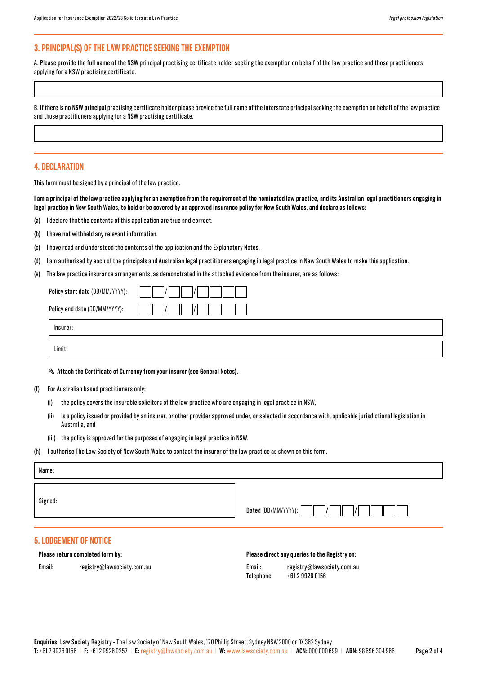# **3. PRINCIPAL(S) OF THE LAW PRACTICE SEEKING THE EXEMPTION**

A. Please provide the full name of the NSW principal practising certificate holder seeking the exemption on behalf of the law practice and those practitioners applying for a NSW practising certificate.

B. If there is **no NSW principal** practising certificate holder please provide the full name of the interstate principal seeking the exemption on behalf of the law practice and those practitioners applying for a NSW practising certificate.

## **4. DECLARATION**

Limit:

This form must be signed by a principal of the law practice.

**I am a principal of the law practice applying for an exemption from the requirement of the nominated law practice, and its Australian legal practitioners engaging in legal practice in New South Wales, to hold or be covered by an approved insurance policy for New South Wales, and declare as follows:**

- (a) I declare that the contents of this application are true and correct.
- (b) I have not withheld any relevant information.
- (c) I have read and understood the contents of the application and the Explanatory Notes.
- (d) I am authorised by each of the principals and Australian legal practitioners engaging in legal practice in New South Wales to make this application.
- (e) The law practice insurance arrangements, as demonstrated in the attached evidence from the insurer, are as follows:

| Insurer:                        |  |
|---------------------------------|--|
| Policy end date (DD/MM/YYYY):   |  |
| Policy start date (DD/MM/YYYY): |  |

- (f) For Australian based practitioners only:
	- (i) the policy covers the insurable solicitors of the law practice who are engaging in legal practice in NSW,
	- (ii) is a policy issued or provided by an insurer, or other provider approved under, or selected in accordance with, applicable jurisdictional legislation in Australia, and
	- (iii) the policy is approved for the purposes of engaging in legal practice in NSW.
- (h) I authorise The Law Society of New South Wales to contact the insurer of the law practice as shown on this form.

| Name:                                                             |                                               |
|-------------------------------------------------------------------|-----------------------------------------------|
| Signed:                                                           | Dated (DD/MM/YYYY):                           |
| <b>5. LODGEMENT OF NOTICE</b><br>Please return completed form by: | Please direct any queries to the Registry on: |

| Email: | registry@lawsociety.com.au |
|--------|----------------------------|
|--------|----------------------------|

| Email:     | registry@lawsociety.com.au |
|------------|----------------------------|
| Telephone: | +61 2 9926 0156            |
|            |                            |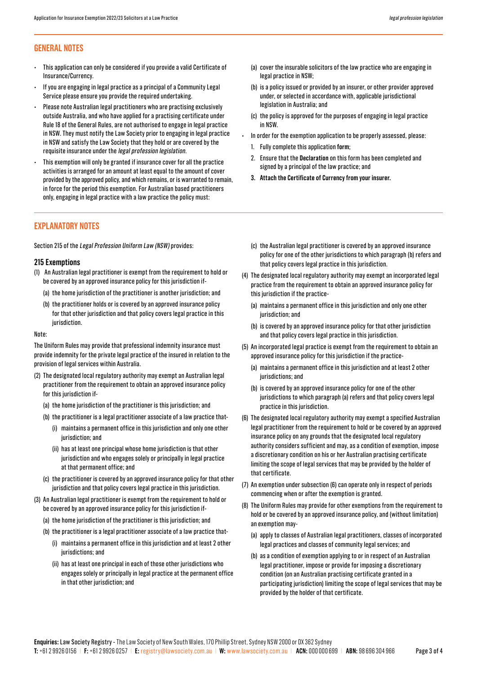# **GENERAL NOTES**

- This application can only be considered if you provide a valid Certificate of Insurance/Currency.
- If you are engaging in legal practice as a principal of a Community Legal Service please ensure you provide the required undertaking.
- Please note Australian legal practitioners who are practising exclusively outside Australia, and who have applied for a practising certificate under Rule 18 of the General Rules, are not authorised to engage in legal practice in NSW. They must notify the Law Society prior to engaging in legal practice in NSW and satisfy the Law Society that they hold or are covered by the requisite insurance under the legal profession legislation.
- This exemption will only be granted if insurance cover for all the practice activities is arranged for an amount at least equal to the amount of cover provided by the approved policy, and which remains, or is warranted to remain, in force for the period this exemption. For Australian based practitioners only, engaging in legal practice with a law practice the policy must:

# **EXPLANATORY NOTES**

Section 215 of the Legal Profession Uniform Law (NSW) provides:

## **215 Exemptions**

- (1) An Australian legal practitioner is exempt from the requirement to hold or be covered by an approved insurance policy for this jurisdiction if-
	- (a) the home jurisdiction of the practitioner is another jurisdiction; and
	- (b) the practitioner holds or is covered by an approved insurance policy for that other jurisdiction and that policy covers legal practice in this jurisdiction.

#### Note:

The Uniform Rules may provide that professional indemnity insurance must provide indemnity for the private legal practice of the insured in relation to the provision of legal services within Australia.

- (2) The designated local regulatory authority may exempt an Australian legal practitioner from the requirement to obtain an approved insurance policy for this jurisdiction if-
	- (a) the home jurisdiction of the practitioner is this jurisdiction; and
	- (b) the practitioner is a legal practitioner associate of a law practice that-
		- (i) maintains a permanent office in this jurisdiction and only one other jurisdiction; and
		- (ii) has at least one principal whose home jurisdiction is that other jurisdiction and who engages solely or principally in legal practice at that permanent office; and
	- (c) the practitioner is covered by an approved insurance policy for that other jurisdiction and that policy covers legal practice in this jurisdiction.
- (3) An Australian legal practitioner is exempt from the requirement to hold or be covered by an approved insurance policy for this jurisdiction if-
	- (a) the home jurisdiction of the practitioner is this jurisdiction; and
	- (b) the practitioner is a legal practitioner associate of a law practice that-
		- (i) maintains a permanent office in this jurisdiction and at least 2 other jurisdictions; and
		- (ii) has at least one principal in each of those other jurisdictions who engages solely or principally in legal practice at the permanent office in that other jurisdiction; and
- (a) cover the insurable solicitors of the law practice who are engaging in legal practice in NSW;
- (b) is a policy issued or provided by an insurer, or other provider approved under, or selected in accordance with, applicable jurisdictional legislation in Australia; and
- (c) the policy is approved for the purposes of engaging in legal practice in NSW.
- In order for the exemption application to be properly assessed, please:
	- 1. Fully complete this application **form**;
	- 2. Ensure that the **Declaration** on this form has been completed and signed by a principal of the law practice; and
	- **3. Attach the Certificate of Currency from your insurer.**
	- (c) the Australian legal practitioner is covered by an approved insurance policy for one of the other jurisdictions to which paragraph (b) refers and that policy covers legal practice in this jurisdiction.
- (4) The designated local regulatory authority may exempt an incorporated legal practice from the requirement to obtain an approved insurance policy for this jurisdiction if the practice-
	- (a) maintains a permanent office in this jurisdiction and only one other jurisdiction; and
	- (b) is covered by an approved insurance policy for that other jurisdiction and that policy covers legal practice in this jurisdiction.
- (5) An incorporated legal practice is exempt from the requirement to obtain an approved insurance policy for this jurisdiction if the practice-
	- (a) maintains a permanent office in this jurisdiction and at least 2 other jurisdictions; and
	- (b) is covered by an approved insurance policy for one of the other jurisdictions to which paragraph (a) refers and that policy covers legal practice in this jurisdiction.
- (6) The designated local regulatory authority may exempt a specified Australian legal practitioner from the requirement to hold or be covered by an approved insurance policy on any grounds that the designated local regulatory authority considers sufficient and may, as a condition of exemption, impose a discretionary condition on his or her Australian practising certificate limiting the scope of legal services that may be provided by the holder of that certificate.
- (7) An exemption under subsection (6) can operate only in respect of periods commencing when or after the exemption is granted.
- (8) The Uniform Rules may provide for other exemptions from the requirement to hold or be covered by an approved insurance policy, and (without limitation) an exemption may-
	- (a) apply to classes of Australian legal practitioners, classes of incorporated legal practices and classes of community legal services; and
	- (b) as a condition of exemption applying to or in respect of an Australian legal practitioner, impose or provide for imposing a discretionary condition (on an Australian practising certificate granted in a participating jurisdiction) limiting the scope of legal services that may be provided by the holder of that certificate.